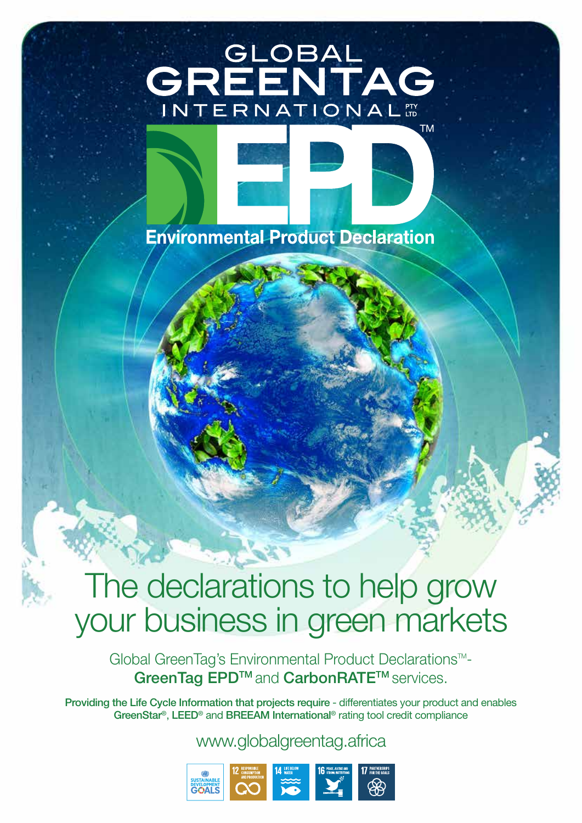# GLOBAL<br>**EENTAG** CR INTERNATIONAL



# The declarations to help grow your business in green markets

Global GreenTag's Environmental Product Declarations<sup>™-</sup> GreenTag EPD<sup>™</sup> and CarbonRATE<sup>™</sup> services.

Providing the Life Cycle Information that projects require - differentiates your product and enables GreenStar®, LEED® and BREEAM International® rating tool credit compliance

www.globalgreentag.africa